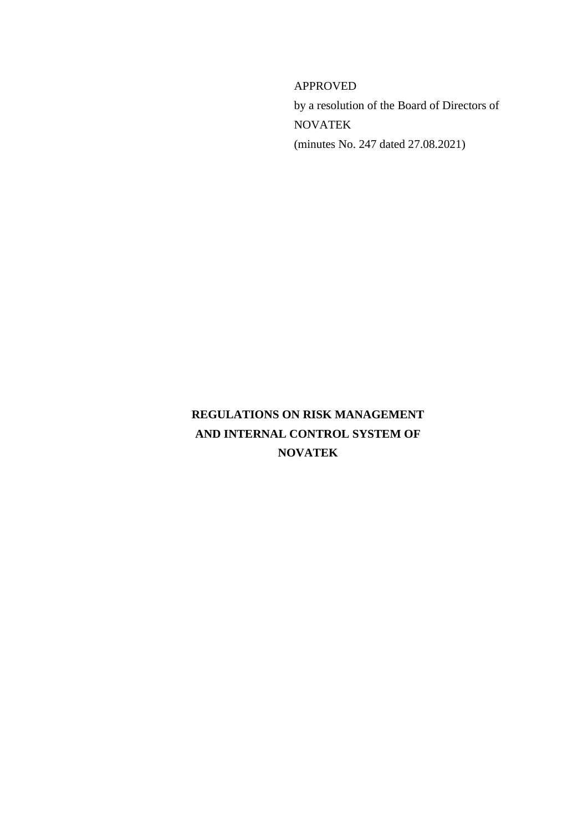APPROVED by a resolution of the Board of Directors of NOVATEK (minutes No. 247 dated 27.08.2021)

# **REGULATIONS ON RISK MANAGEMENT AND INTERNAL CONTROL SYSTEM OF NOVATEK**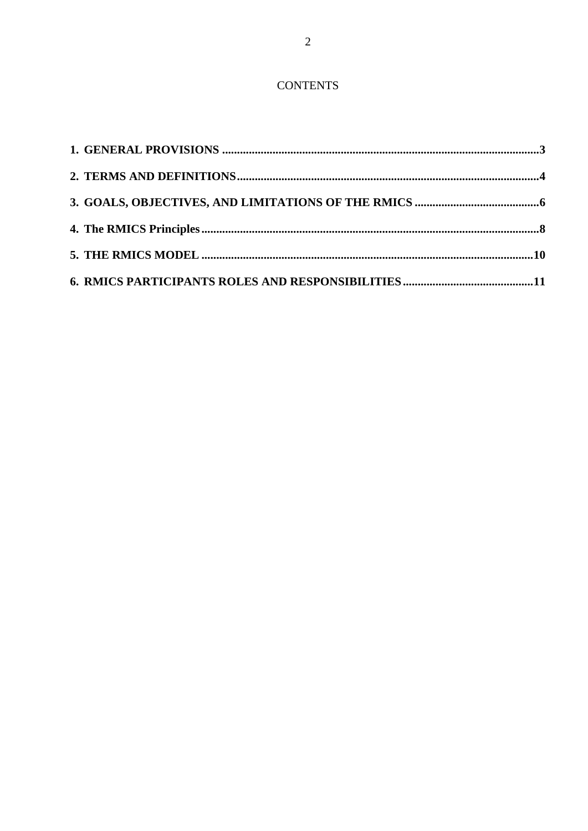# **CONTENTS**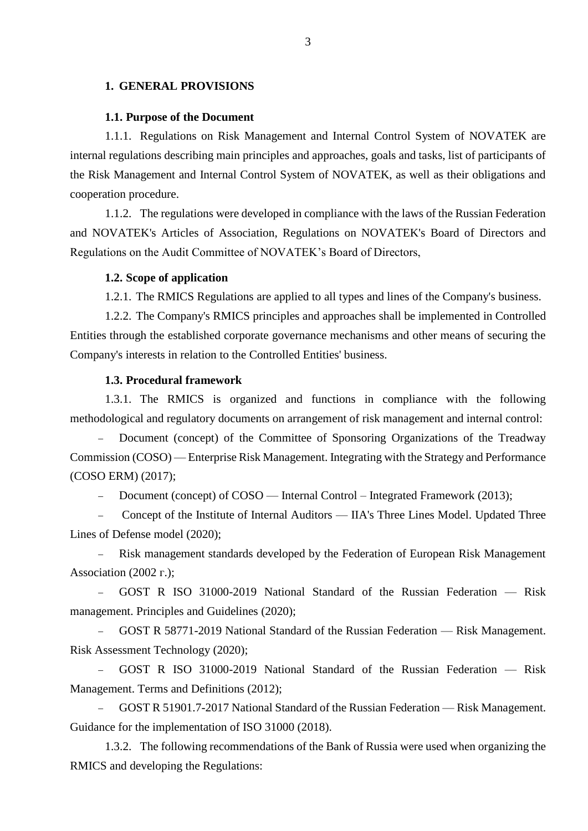#### <span id="page-2-0"></span>**1. GENERAL PROVISIONS**

#### **1.1. Purpose of the Document**

1.1.1. Regulations on Risk Management and Internal Control System of NOVATEK are internal regulations describing main principles and approaches, goals and tasks, list of participants of the Risk Management and Internal Control System of NOVATEK, as well as their obligations and cooperation procedure.

1.1.2. The regulations were developed in compliance with the laws of the Russian Federation and NOVATEK's Articles of Association, Regulations on NOVATEK's Board of Directors and Regulations on the Audit Committee of NOVATEK's Board of Directors,

#### **1.2. Scope of application**

1.2.1. The RMICS Regulations are applied to all types and lines of the Company's business.

1.2.2. The Company's RMICS principles and approaches shall be implemented in Controlled Entities through the established corporate governance mechanisms and other means of securing the Company's interests in relation to the Controlled Entities' business.

#### **1.3. Procedural framework**

1.3.1. The RMICS is organized and functions in compliance with the following methodological and regulatory documents on arrangement of risk management and internal control:

 Document (concept) of the Committee of Sponsoring Organizations of the Treadway Commission (COSO) — Enterprise Risk Management. Integrating with the Strategy and Performance (COSO ERM) (2017);

Document (concept) of COSO — Internal Control – Integrated Framework (2013);

- Concept of the Institute of Internal Auditors — IIA's Three Lines Model. Updated Three Lines of Defense model (2020);

 Risk management standards developed by the Federation of European Risk Management Association (2002 г.);

 GOST R ISO 31000-2019 National Standard of the Russian Federation — Risk management. Principles and Guidelines (2020);

 GOST R 58771-2019 National Standard of the Russian Federation — Risk Management. Risk Assessment Technology (2020);

 GOST R ISO 31000-2019 National Standard of the Russian Federation — Risk Management. Terms and Definitions (2012);

 GOST R 51901.7-2017 National Standard of the Russian Federation — Risk Management. Guidance for the implementation of ISO 31000 (2018).

1.3.2. The following recommendations of the Bank of Russia were used when organizing the RMICS and developing the Regulations: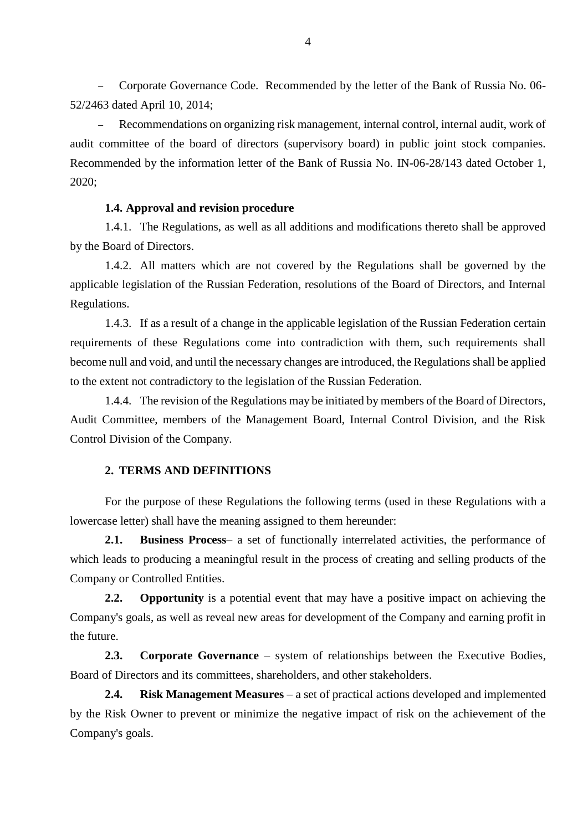Corporate Governance Code. Recommended by the letter of the Bank of Russia No. 06- 52/2463 dated April 10, 2014;

 Recommendations on organizing risk management, internal control, internal audit, work of audit committee of the board of directors (supervisory board) in public joint stock companies. Recommended by the information letter of the Bank of Russia No. IN-06-28/143 dated October 1, 2020;

## **1.4. Approval and revision procedure**

1.4.1. The Regulations, as well as all additions and modifications thereto shall be approved by the Board of Directors.

1.4.2. All matters which are not covered by the Regulations shall be governed by the applicable legislation of the Russian Federation, resolutions of the Board of Directors, and Internal Regulations.

1.4.3. If as a result of a change in the applicable legislation of the Russian Federation certain requirements of these Regulations come into contradiction with them, such requirements shall become null and void, and until the necessary changes are introduced, the Regulations shall be applied to the extent not contradictory to the legislation of the Russian Federation.

1.4.4. The revision of the Regulations may be initiated by members of the Board of Directors, Audit Committee, members of the Management Board, Internal Control Division, and the Risk Control Division of the Company.

# <span id="page-3-0"></span>**2. TERMS AND DEFINITIONS**

For the purpose of these Regulations the following terms (used in these Regulations with a lowercase letter) shall have the meaning assigned to them hereunder:

**2.1. Business Process**– a set of functionally interrelated activities, the performance of which leads to producing a meaningful result in the process of creating and selling products of the Company or Controlled Entities.

**2.2. Opportunity** is a potential event that may have a positive impact on achieving the Company's goals, as well as reveal new areas for development of the Company and earning profit in the future.

**2.3. Corporate Governance** – system of relationships between the Executive Bodies, Board of Directors and its committees, shareholders, and other stakeholders.

**2.4. Risk Management Measures** – a set of practical actions developed and implemented by the Risk Owner to prevent or minimize the negative impact of risk on the achievement of the Company's goals.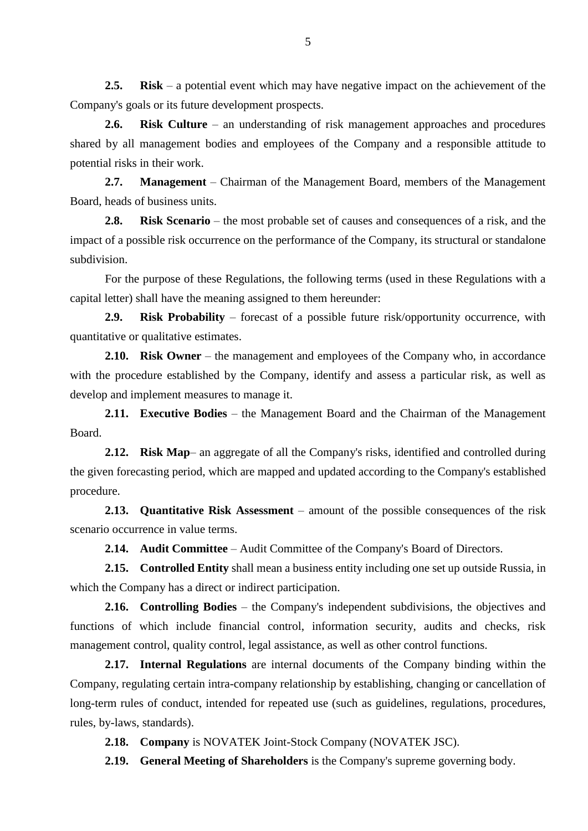**2.5. Risk** – a potential event which may have negative impact on the achievement of the Company's goals or its future development prospects.

**2.6. Risk Culture** – an understanding of risk management approaches and procedures shared by all management bodies and employees of the Company and a responsible attitude to potential risks in their work.

**2.7. Management** – Chairman of the Management Board, members of the Management Board, heads of business units.

**2.8. Risk Scenario** – the most probable set of causes and consequences of a risk, and the impact of a possible risk occurrence on the performance of the Company, its structural or standalone subdivision.

For the purpose of these Regulations, the following terms (used in these Regulations with a capital letter) shall have the meaning assigned to them hereunder:

**2.9. Risk Probability** – forecast of a possible future risk/opportunity occurrence, with quantitative or qualitative estimates.

**2.10. Risk Owner** – the management and employees of the Company who, in accordance with the procedure established by the Company, identify and assess a particular risk, as well as develop and implement measures to manage it.

**2.11. Executive Bodies** – the Management Board and the Chairman of the Management Board.

**2.12. Risk Map**– an aggregate of all the Company's risks, identified and controlled during the given forecasting period, which are mapped and updated according to the Company's established procedure.

**2.13. Quantitative Risk Assessment** – amount of the possible consequences of the risk scenario occurrence in value terms.

**2.14. Audit Committee** – Audit Committee of the Company's Board of Directors.

**2.15. Controlled Entity** shall mean a business entity including one set up outside Russia, in which the Company has a direct or indirect participation.

**2.16. Controlling Bodies** – the Company's independent subdivisions, the objectives and functions of which include financial control, information security, audits and checks, risk management control, quality control, legal assistance, as well as other control functions.

**2.17. Internal Regulations** are internal documents of the Company binding within the Company, regulating certain intra-company relationship by establishing, changing or cancellation of long-term rules of conduct, intended for repeated use (such as guidelines, regulations, procedures, rules, by-laws, standards).

**2.18. Company** is NOVATEK Joint-Stock Company (NOVATEK JSC).

**2.19. General Meeting of Shareholders** is the Company's supreme governing body.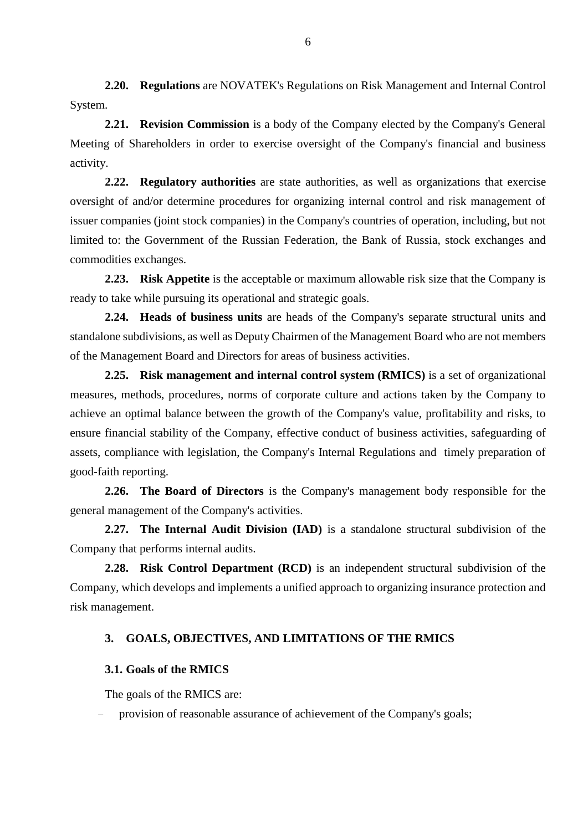**2.20. Regulations** are NOVATEK's Regulations on Risk Management and Internal Control System.

**2.21. Revision Commission** is a body of the Company elected by the Company's General Meeting of Shareholders in order to exercise oversight of the Company's financial and business activity.

**2.22. Regulatory authorities** are state authorities, as well as organizations that exercise oversight of and/or determine procedures for organizing internal control and risk management of issuer companies (joint stock companies) in the Company's countries of operation, including, but not limited to: the Government of the Russian Federation, the Bank of Russia, stock exchanges and commodities exchanges.

**2.23. Risk Appetite** is the acceptable or maximum allowable risk size that the Company is ready to take while pursuing its operational and strategic goals.

**2.24. Heads of business units** are heads of the Company's separate structural units and standalone subdivisions, as well as Deputy Chairmen of the Management Board who are not members of the Management Board and Directors for areas of business activities.

**2.25. Risk management and internal control system (RMICS)** is a set of organizational measures, methods, procedures, norms of corporate culture and actions taken by the Company to achieve an optimal balance between the growth of the Company's value, profitability and risks, to ensure financial stability of the Company, effective conduct of business activities, safeguarding of assets, compliance with legislation, the Company's Internal Regulations and timely preparation of good-faith reporting.

**2.26. The Board of Directors** is the Company's management body responsible for the general management of the Company's activities.

**2.27. The Internal Audit Division (IAD)** is a standalone structural subdivision of the Company that performs internal audits.

**2.28. Risk Control Department (RCD)** is an independent structural subdivision of the Company, which develops and implements a unified approach to organizing insurance protection and risk management.

# <span id="page-5-0"></span>**3. GOALS, OBJECTIVES, AND LIMITATIONS OF THE RMICS**

## **3.1. Goals of the RMICS**

The goals of the RMICS are:

provision of reasonable assurance of achievement of the Company's goals;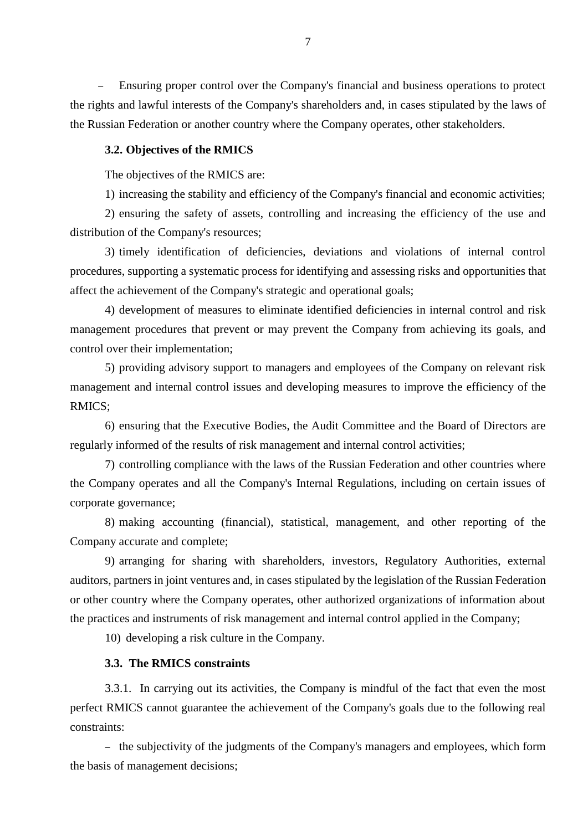Ensuring proper control over the Company's financial and business operations to protect the rights and lawful interests of the Company's shareholders and, in cases stipulated by the laws of the Russian Federation or another country where the Company operates, other stakeholders.

#### **3.2. Objectives of the RMICS**

The objectives of the RMICS are:

1) increasing the stability and efficiency of the Company's financial and economic activities;

2) ensuring the safety of assets, controlling and increasing the efficiency of the use and distribution of the Company's resources;

3) timely identification of deficiencies, deviations and violations of internal control procedures, supporting a systematic process for identifying and assessing risks and opportunities that affect the achievement of the Company's strategic and operational goals;

4) development of measures to eliminate identified deficiencies in internal control and risk management procedures that prevent or may prevent the Company from achieving its goals, and control over their implementation;

5) providing advisory support to managers and employees of the Company on relevant risk management and internal control issues and developing measures to improve the efficiency of the RMICS;

6) ensuring that the Executive Bodies, the Audit Committee and the Board of Directors are regularly informed of the results of risk management and internal control activities;

7) controlling compliance with the laws of the Russian Federation and other countries where the Company operates and all the Company's Internal Regulations, including on certain issues of corporate governance;

8) making accounting (financial), statistical, management, and other reporting of the Company accurate and complete;

9) arranging for sharing with shareholders, investors, Regulatory Authorities, external auditors, partners in joint ventures and, in cases stipulated by the legislation of the Russian Federation or other country where the Company operates, other authorized organizations of information about the practices and instruments of risk management and internal control applied in the Company;

10) developing a risk culture in the Company.

# **3.3. The RMICS constraints**

3.3.1. In carrying out its activities, the Company is mindful of the fact that even the most perfect RMICS cannot guarantee the achievement of the Company's goals due to the following real constraints:

- the subjectivity of the judgments of the Company's managers and employees, which form the basis of management decisions;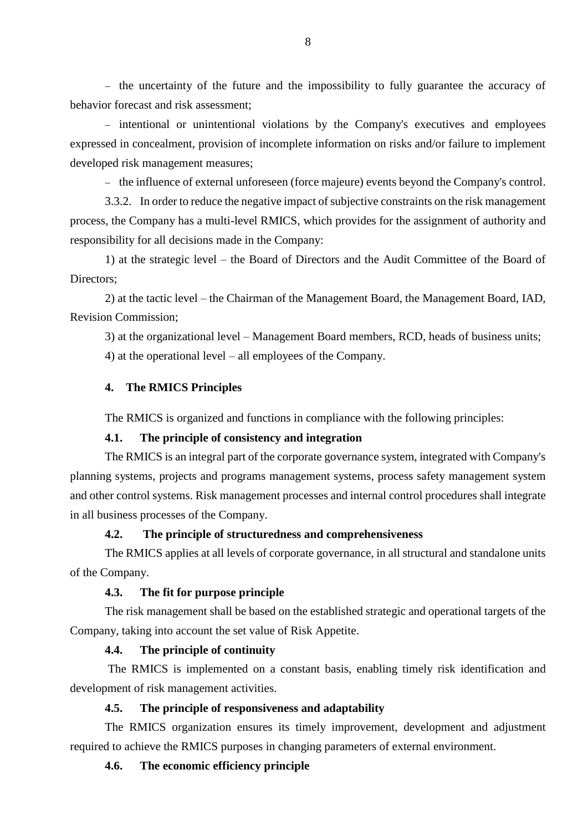- the uncertainty of the future and the impossibility to fully guarantee the accuracy of behavior forecast and risk assessment;

- intentional or unintentional violations by the Company's executives and employees expressed in concealment, provision of incomplete information on risks and/or failure to implement developed risk management measures;

- the influence of external unforeseen (force majeure) events beyond the Company's control.

3.3.2. In order to reduce the negative impact of subjective constraints on the risk management process, the Company has a multi-level RMICS, which provides for the assignment of authority and responsibility for all decisions made in the Company:

1) at the strategic level – the Board of Directors and the Audit Committee of the Board of Directors;

2) at the tactic level – the Chairman of the Management Board, the Management Board, IAD, Revision Commission;

3) at the organizational level – Management Board members, RCD, heads of business units; 4) at the operational level – all employees of the Company.

# <span id="page-7-0"></span>**4. The RMICS Principles**

The RMICS is organized and functions in compliance with the following principles:

## **4.1. The principle of consistency and integration**

The RMICS is an integral part of the corporate governance system, integrated with Company's planning systems, projects and programs management systems, process safety management system and other control systems. Risk management processes and internal control procedures shall integrate in all business processes of the Company.

## **4.2. The principle of structuredness and comprehensiveness**

The RMICS applies at all levels of corporate governance, in all structural and standalone units of the Company.

## **4.3. The fit for purpose principle**

The risk management shall be based on the established strategic and operational targets of the Company, taking into account the set value of Risk Appetite.

## **4.4. The principle of continuity**

The RMICS is implemented on a constant basis, enabling timely risk identification and development of risk management activities.

# **4.5. The principle of responsiveness and adaptability**

The RMICS organization ensures its timely improvement, development and adjustment required to achieve the RMICS purposes in changing parameters of external environment.

## **4.6. The economic efficiency principle**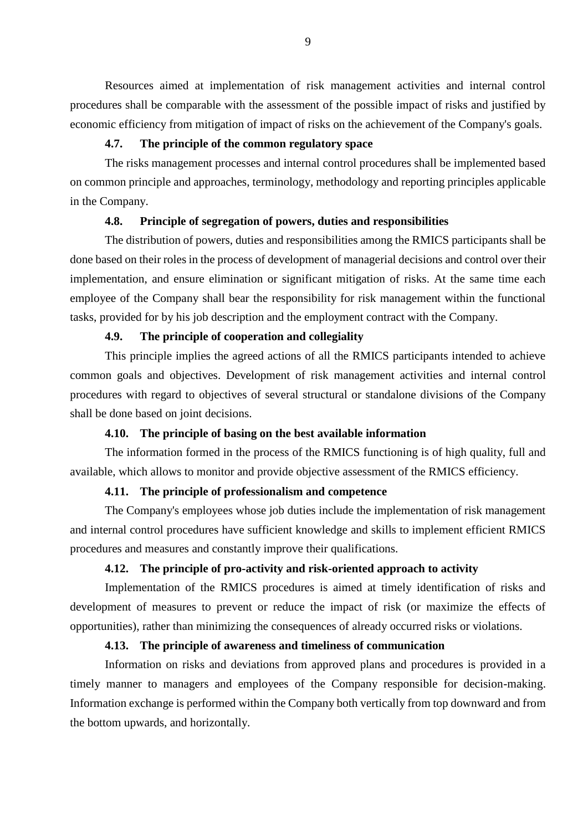Resources aimed at implementation of risk management activities and internal control procedures shall be comparable with the assessment of the possible impact of risks and justified by economic efficiency from mitigation of impact of risks on the achievement of the Company's goals.

## **4.7. The principle of the common regulatory space**

The risks management processes and internal control procedures shall be implemented based on common principle and approaches, terminology, methodology and reporting principles applicable in the Company.

## **4.8. Principle of segregation of powers, duties and responsibilities**

The distribution of powers, duties and responsibilities among the RMICS participants shall be done based on their roles in the process of development of managerial decisions and control over their implementation, and ensure elimination or significant mitigation of risks. At the same time each employee of the Company shall bear the responsibility for risk management within the functional tasks, provided for by his job description and the employment contract with the Company.

## **4.9. The principle of cooperation and collegiality**

This principle implies the agreed actions of all the RMICS participants intended to achieve common goals and objectives. Development of risk management activities and internal control procedures with regard to objectives of several structural or standalone divisions of the Company shall be done based on joint decisions.

## **4.10. The principle of basing on the best available information**

The information formed in the process of the RMICS functioning is of high quality, full and available, which allows to monitor and provide objective assessment of the RMICS efficiency.

# **4.11. The principle of professionalism and competence**

The Company's employees whose job duties include the implementation of risk management and internal control procedures have sufficient knowledge and skills to implement efficient RMICS procedures and measures and constantly improve their qualifications.

# **4.12. The principle of pro-activity and risk-oriented approach to activity**

Implementation of the RMICS procedures is aimed at timely identification of risks and development of measures to prevent or reduce the impact of risk (or maximize the effects of opportunities), rather than minimizing the consequences of already occurred risks or violations.

#### **4.13. The principle of awareness and timeliness of communication**

Information on risks and deviations from approved plans and procedures is provided in a timely manner to managers and employees of the Company responsible for decision-making. Information exchange is performed within the Company both vertically from top downward and from the bottom upwards, and horizontally.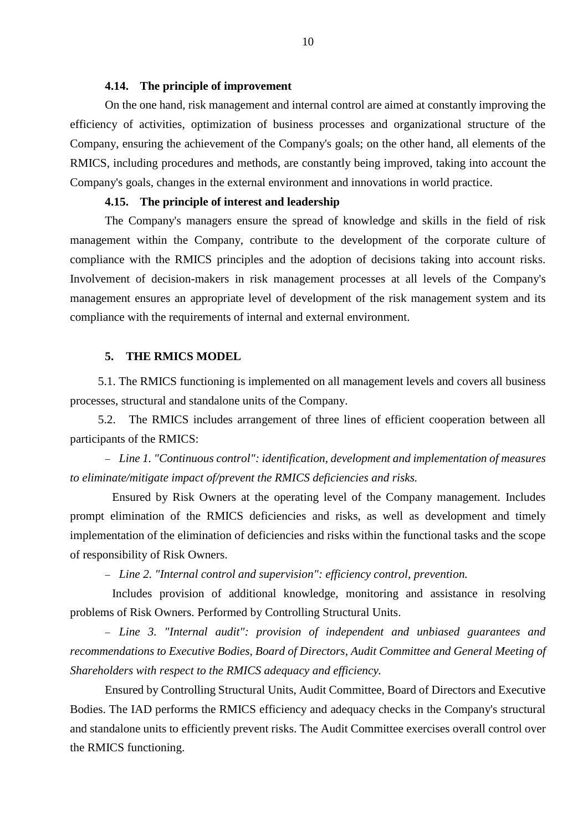## **4.14. The principle of improvement**

On the one hand, risk management and internal control are aimed at constantly improving the efficiency of activities, optimization of business processes and organizational structure of the Company, ensuring the achievement of the Company's goals; on the other hand, all elements of the RMICS, including procedures and methods, are constantly being improved, taking into account the Company's goals, changes in the external environment and innovations in world practice.

#### **4.15. The principle of interest and leadership**

The Company's managers ensure the spread of knowledge and skills in the field of risk management within the Company, contribute to the development of the corporate culture of compliance with the RMICS principles and the adoption of decisions taking into account risks. Involvement of decision-makers in risk management processes at all levels of the Company's management ensures an appropriate level of development of the risk management system and its compliance with the requirements of internal and external environment.

#### **5. THE RMICS MODEL**

<span id="page-9-0"></span>5.1. The RMICS functioning is implemented on all management levels and covers all business processes, structural and standalone units of the Company.

5.2. The RMICS includes arrangement of three lines of efficient cooperation between all participants of the RMICS:

 *Line 1. "Continuous control": identification, development and implementation of measures to eliminate/mitigate impact of/prevent the RMICS deficiencies and risks.* 

Ensured by Risk Owners at the operating level of the Company management. Includes prompt elimination of the RMICS deficiencies and risks, as well as development and timely implementation of the elimination of deficiencies and risks within the functional tasks and the scope of responsibility of Risk Owners.

*Line 2. "Internal control and supervision": efficiency control, prevention.* 

Includes provision of additional knowledge, monitoring and assistance in resolving problems of Risk Owners. Performed by Controlling Structural Units.

 *Line 3. "Internal audit": provision of independent and unbiased guarantees and recommendations to Executive Bodies, Board of Directors, Audit Committee and General Meeting of Shareholders with respect to the RMICS adequacy and efficiency.*

Ensured by Controlling Structural Units, Audit Committee, Board of Directors and Executive Bodies. The IAD performs the RMICS efficiency and adequacy checks in the Company's structural and standalone units to efficiently prevent risks. The Audit Committee exercises overall control over the RMICS functioning.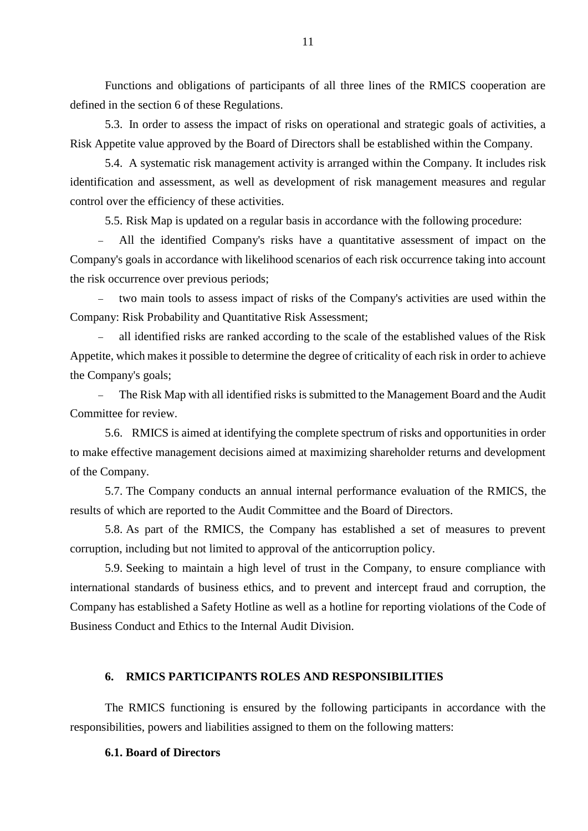Functions and obligations of participants of all three lines of the RMICS cooperation are defined in the section 6 of these Regulations.

5.3. In order to assess the impact of risks on operational and strategic goals of activities, a Risk Appetite value approved by the Board of Directors shall be established within the Company.

5.4. A systematic risk management activity is arranged within the Company. It includes risk identification and assessment, as well as development of risk management measures and regular control over the efficiency of these activities.

5.5. Risk Map is updated on a regular basis in accordance with the following procedure:

 All the identified Company's risks have a quantitative assessment of impact on the Company's goals in accordance with likelihood scenarios of each risk occurrence taking into account the risk occurrence over previous periods;

 two main tools to assess impact of risks of the Company's activities are used within the Company: Risk Probability and Quantitative Risk Assessment;

 all identified risks are ranked according to the scale of the established values of the Risk Appetite, which makes it possible to determine the degree of criticality of each risk in order to achieve the Company's goals;

 The Risk Map with all identified risks is submitted to the Management Board and the Audit Committee for review.

5.6. RMICS is aimed at identifying the complete spectrum of risks and opportunities in order to make effective management decisions aimed at maximizing shareholder returns and development of the Company.

5.7. The Company conducts an annual internal performance evaluation of the RMICS, the results of which are reported to the Audit Committee and the Board of Directors.

5.8. As part of the RMICS, the Company has established a set of measures to prevent corruption, including but not limited to approval of the anticorruption policy.

5.9. Seeking to maintain a high level of trust in the Company, to ensure compliance with international standards of business ethics, and to prevent and intercept fraud and corruption, the Company has established a Safety Hotline as well as a hotline for reporting violations of the Code of Business Conduct and Ethics to the Internal Audit Division.

# <span id="page-10-0"></span>**6. RMICS PARTICIPANTS ROLES AND RESPONSIBILITIES**

The RMICS functioning is ensured by the following participants in accordance with the responsibilities, powers and liabilities assigned to them on the following matters:

## **6.1. Board of Directors**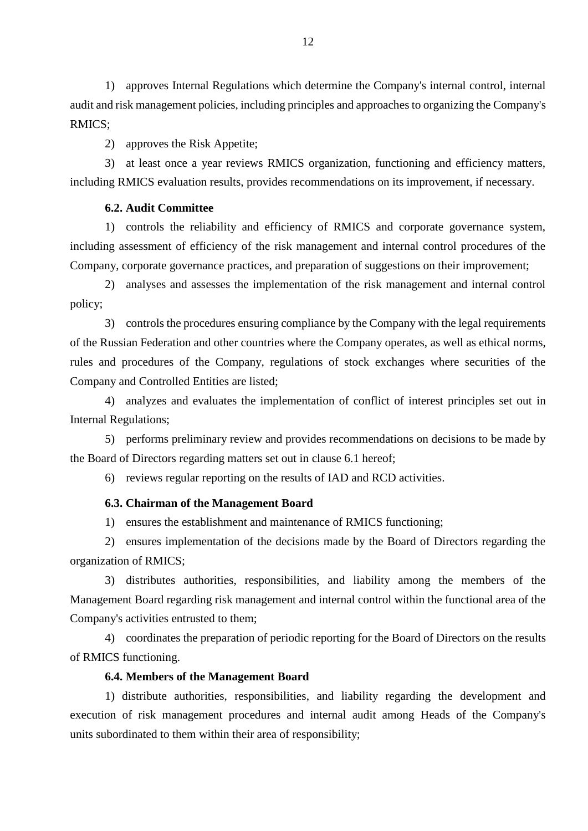1) approves Internal Regulations which determine the Company's internal control, internal audit and risk management policies, including principles and approaches to organizing the Company's RMICS;

2) approves the Risk Appetite;

3) at least once a year reviews RMICS organization, functioning and efficiency matters, including RMICS evaluation results, provides recommendations on its improvement, if necessary.

## **6.2. Audit Committee**

1) controls the reliability and efficiency of RMICS and corporate governance system, including assessment of efficiency of the risk management and internal control procedures of the Company, corporate governance practices, and preparation of suggestions on their improvement;

2) analyses and assesses the implementation of the risk management and internal control policy;

3) controls the procedures ensuring compliance by the Company with the legal requirements of the Russian Federation and other countries where the Company operates, as well as ethical norms, rules and procedures of the Company, regulations of stock exchanges where securities of the Company and Controlled Entities are listed;

4) analyzes and evaluates the implementation of conflict of interest principles set out in Internal Regulations;

5) performs preliminary review and provides recommendations on decisions to be made by the Board of Directors regarding matters set out in clause 6.1 hereof;

6) reviews regular reporting on the results of IAD and RCD activities.

## **6.3. Chairman of the Management Board**

1) ensures the establishment and maintenance of RMICS functioning;

2) ensures implementation of the decisions made by the Board of Directors regarding the organization of RMICS;

3) distributes authorities, responsibilities, and liability among the members of the Management Board regarding risk management and internal control within the functional area of the Company's activities entrusted to them;

4) coordinates the preparation of periodic reporting for the Board of Directors on the results of RMICS functioning.

# **6.4. Members of the Management Board**

1) distribute authorities, responsibilities, and liability regarding the development and execution of risk management procedures and internal audit among Heads of the Company's units subordinated to them within their area of responsibility;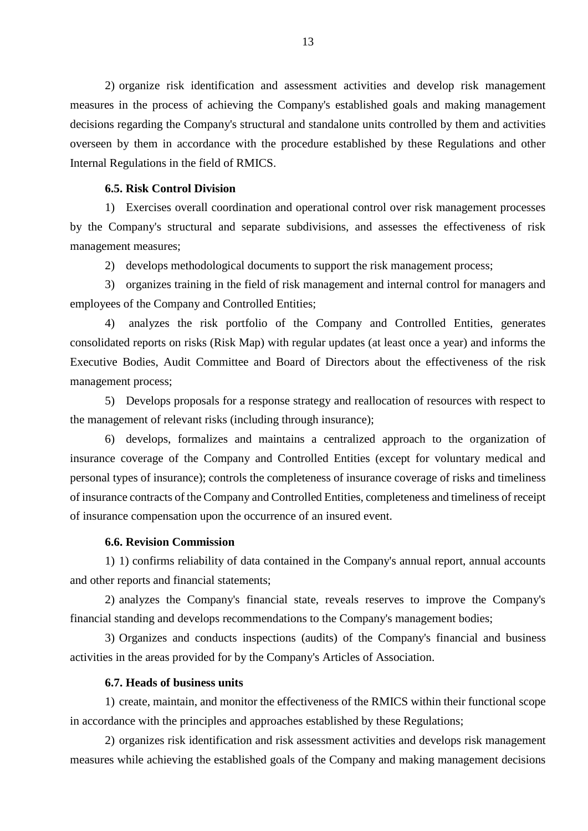2) organize risk identification and assessment activities and develop risk management measures in the process of achieving the Company's established goals and making management decisions regarding the Company's structural and standalone units controlled by them and activities overseen by them in accordance with the procedure established by these Regulations and other Internal Regulations in the field of RMICS.

## **6.5. Risk Control Division**

1) Exercises overall coordination and operational control over risk management processes by the Company's structural and separate subdivisions, and assesses the effectiveness of risk management measures;

2) develops methodological documents to support the risk management process;

3) organizes training in the field of risk management and internal control for managers and employees of the Company and Controlled Entities;

4) analyzes the risk portfolio of the Company and Controlled Entities, generates consolidated reports on risks (Risk Map) with regular updates (at least once a year) and informs the Executive Bodies, Audit Committee and Board of Directors about the effectiveness of the risk management process;

5) Develops proposals for a response strategy and reallocation of resources with respect to the management of relevant risks (including through insurance);

6) develops, formalizes and maintains a centralized approach to the organization of insurance coverage of the Company and Controlled Entities (except for voluntary medical and personal types of insurance); controls the completeness of insurance coverage of risks and timeliness of insurance contracts of the Company and Controlled Entities, completeness and timeliness of receipt of insurance compensation upon the occurrence of an insured event.

# **6.6. Revision Commission**

1) 1) confirms reliability of data contained in the Company's annual report, annual accounts and other reports and financial statements;

2) analyzes the Company's financial state, reveals reserves to improve the Company's financial standing and develops recommendations to the Company's management bodies;

3) Organizes and conducts inspections (audits) of the Company's financial and business activities in the areas provided for by the Company's Articles of Association.

#### **6.7. Heads of business units**

1) create, maintain, and monitor the effectiveness of the RMICS within their functional scope in accordance with the principles and approaches established by these Regulations;

2) organizes risk identification and risk assessment activities and develops risk management measures while achieving the established goals of the Company and making management decisions